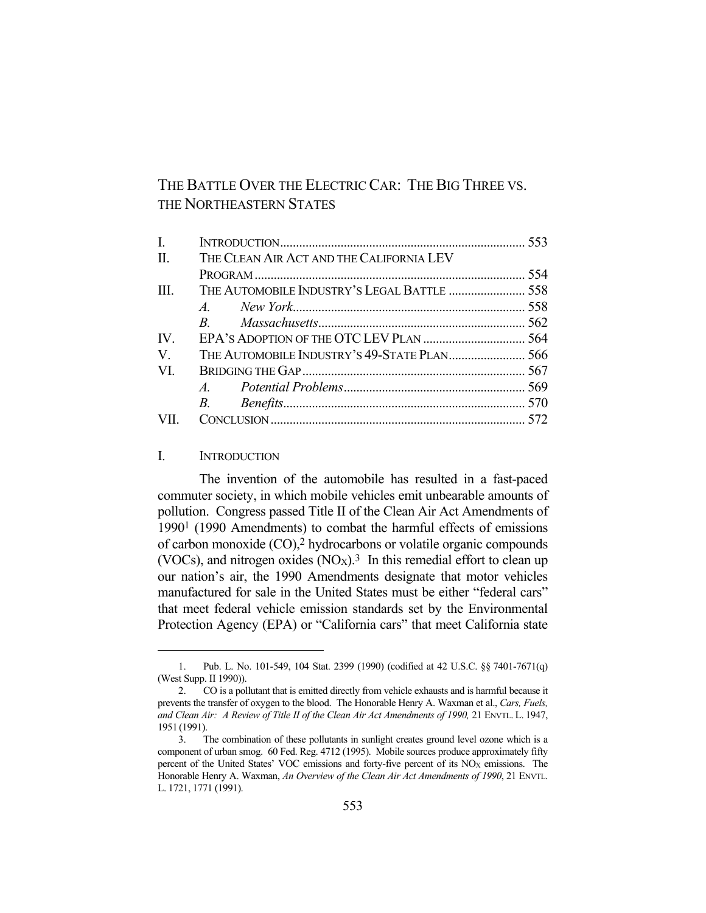# THE BATTLE OVER THE ELECTRIC CAR: THE BIG THREE VS. THE NORTHEASTERN STATES

| $\mathbf{I}$ .    |                                             |  |
|-------------------|---------------------------------------------|--|
| II.               | THE CLEAN AIR ACT AND THE CALIFORNIA LEV    |  |
|                   |                                             |  |
| TH.               | THE AUTOMOBILE INDUSTRY'S LEGAL BATTLE  558 |  |
|                   |                                             |  |
|                   |                                             |  |
| $\mathbf{IV}_{-}$ |                                             |  |
| V.                |                                             |  |
| VL.               |                                             |  |
|                   |                                             |  |
|                   |                                             |  |
| VII.              |                                             |  |

#### I. INTRODUCTION

 The invention of the automobile has resulted in a fast-paced commuter society, in which mobile vehicles emit unbearable amounts of pollution. Congress passed Title II of the Clean Air Act Amendments of 19901 (1990 Amendments) to combat the harmful effects of emissions of carbon monoxide (CO),2 hydrocarbons or volatile organic compounds (VOCs), and nitrogen oxides  $(NO<sub>X</sub>)$ .<sup>3</sup> In this remedial effort to clean up our nation's air, the 1990 Amendments designate that motor vehicles manufactured for sale in the United States must be either "federal cars" that meet federal vehicle emission standards set by the Environmental Protection Agency (EPA) or "California cars" that meet California state

 <sup>1.</sup> Pub. L. No. 101-549, 104 Stat. 2399 (1990) (codified at 42 U.S.C. §§ 7401-7671(q) (West Supp. II 1990)).

 <sup>2.</sup> CO is a pollutant that is emitted directly from vehicle exhausts and is harmful because it prevents the transfer of oxygen to the blood. The Honorable Henry A. Waxman et al., *Cars, Fuels, and Clean Air: A Review of Title II of the Clean Air Act Amendments of 1990,* 21 ENVTL. L. 1947, 1951 (1991).

 <sup>3.</sup> The combination of these pollutants in sunlight creates ground level ozone which is a component of urban smog. 60 Fed. Reg. 4712 (1995). Mobile sources produce approximately fifty percent of the United States' VOC emissions and forty-five percent of its  $NO<sub>X</sub>$  emissions. The Honorable Henry A. Waxman, *An Overview of the Clean Air Act Amendments of 1990*, 21 ENVTL. L. 1721, 1771 (1991).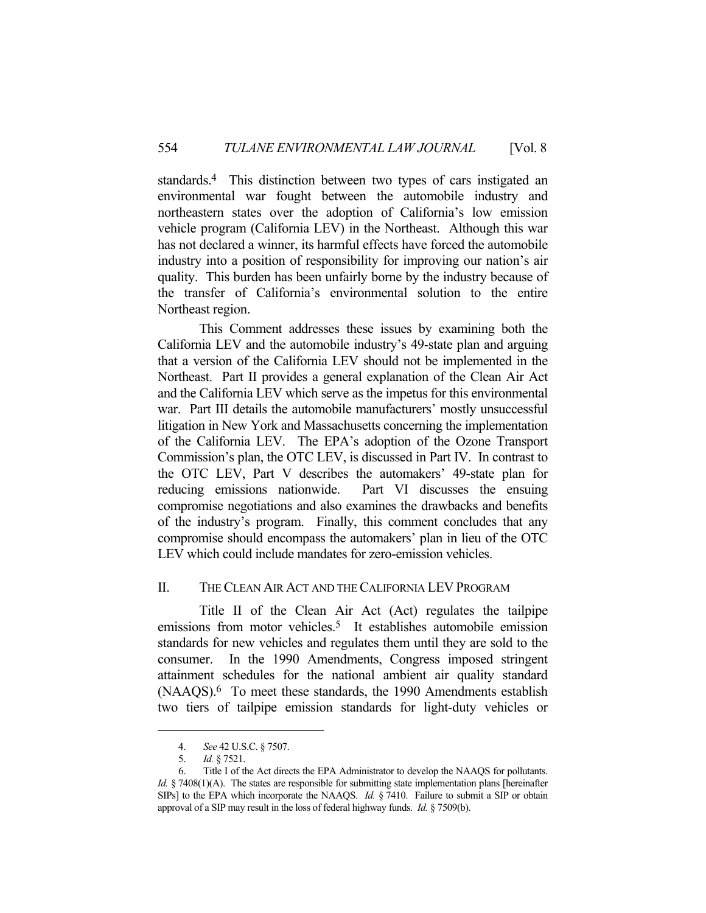standards.4 This distinction between two types of cars instigated an environmental war fought between the automobile industry and northeastern states over the adoption of California's low emission vehicle program (California LEV) in the Northeast. Although this war has not declared a winner, its harmful effects have forced the automobile industry into a position of responsibility for improving our nation's air quality. This burden has been unfairly borne by the industry because of the transfer of California's environmental solution to the entire Northeast region.

 This Comment addresses these issues by examining both the California LEV and the automobile industry's 49-state plan and arguing that a version of the California LEV should not be implemented in the Northeast. Part II provides a general explanation of the Clean Air Act and the California LEV which serve as the impetus for this environmental war. Part III details the automobile manufacturers' mostly unsuccessful litigation in New York and Massachusetts concerning the implementation of the California LEV. The EPA's adoption of the Ozone Transport Commission's plan, the OTC LEV, is discussed in Part IV. In contrast to the OTC LEV, Part V describes the automakers' 49-state plan for reducing emissions nationwide. Part VI discusses the ensuing compromise negotiations and also examines the drawbacks and benefits of the industry's program. Finally, this comment concludes that any compromise should encompass the automakers' plan in lieu of the OTC LEV which could include mandates for zero-emission vehicles.

#### II. THE CLEAN AIR ACT AND THE CALIFORNIA LEV PROGRAM

 Title II of the Clean Air Act (Act) regulates the tailpipe emissions from motor vehicles.<sup>5</sup> It establishes automobile emission standards for new vehicles and regulates them until they are sold to the consumer. In the 1990 Amendments, Congress imposed stringent attainment schedules for the national ambient air quality standard (NAAQS).6 To meet these standards, the 1990 Amendments establish two tiers of tailpipe emission standards for light-duty vehicles or

 <sup>4.</sup> *See* 42 U.S.C. § 7507.

 <sup>5.</sup> *Id.* § 7521.

 <sup>6.</sup> Title I of the Act directs the EPA Administrator to develop the NAAQS for pollutants. *Id.* § 7408(1)(A). The states are responsible for submitting state implementation plans [hereinafter SIPs] to the EPA which incorporate the NAAQS. *Id.* § 7410. Failure to submit a SIP or obtain approval of a SIP may result in the loss of federal highway funds. *Id.* § 7509(b).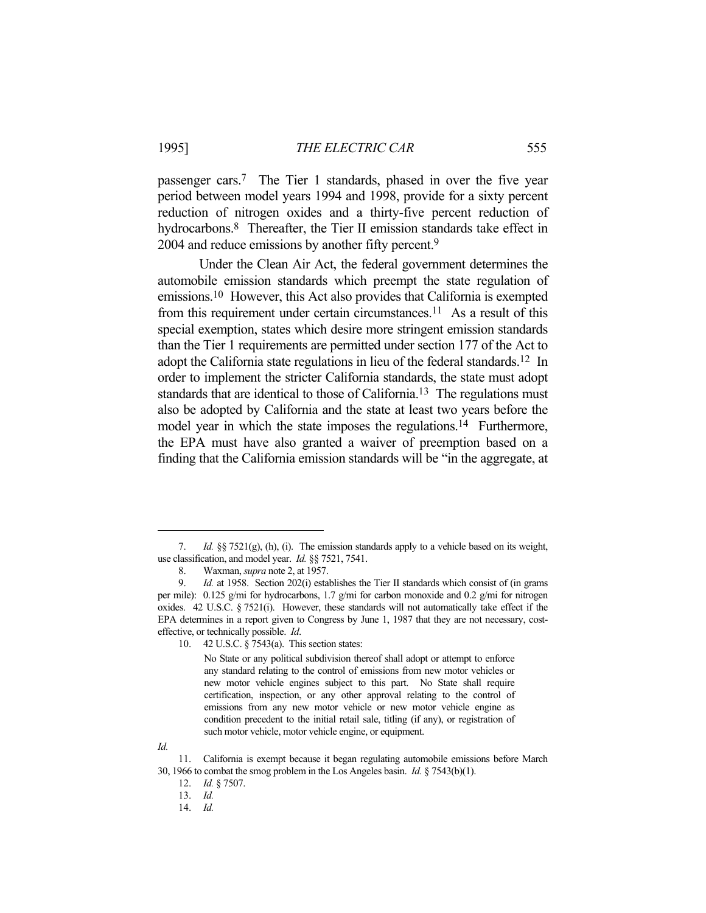passenger cars.7 The Tier 1 standards, phased in over the five year period between model years 1994 and 1998, provide for a sixty percent reduction of nitrogen oxides and a thirty-five percent reduction of hydrocarbons.<sup>8</sup> Thereafter, the Tier II emission standards take effect in 2004 and reduce emissions by another fifty percent.<sup>9</sup>

 Under the Clean Air Act, the federal government determines the automobile emission standards which preempt the state regulation of emissions.10 However, this Act also provides that California is exempted from this requirement under certain circumstances.11 As a result of this special exemption, states which desire more stringent emission standards than the Tier 1 requirements are permitted under section 177 of the Act to adopt the California state regulations in lieu of the federal standards.12 In order to implement the stricter California standards, the state must adopt standards that are identical to those of California.<sup>13</sup> The regulations must also be adopted by California and the state at least two years before the model year in which the state imposes the regulations.<sup>14</sup> Furthermore, the EPA must have also granted a waiver of preemption based on a finding that the California emission standards will be "in the aggregate, at

 <sup>7.</sup> *Id.* §§ 7521(g), (h), (i). The emission standards apply to a vehicle based on its weight, use classification, and model year. *Id.* §§ 7521, 7541.

 <sup>8.</sup> Waxman, *supra* note 2, at 1957.

 <sup>9.</sup> *Id.* at 1958. Section 202(i) establishes the Tier II standards which consist of (in grams per mile): 0.125 g/mi for hydrocarbons, 1.7 g/mi for carbon monoxide and 0.2 g/mi for nitrogen oxides. 42 U.S.C. § 7521(i). However, these standards will not automatically take effect if the EPA determines in a report given to Congress by June 1, 1987 that they are not necessary, costeffective, or technically possible. *Id*.

 <sup>10. 42</sup> U.S.C. § 7543(a). This section states:

No State or any political subdivision thereof shall adopt or attempt to enforce any standard relating to the control of emissions from new motor vehicles or new motor vehicle engines subject to this part. No State shall require certification, inspection, or any other approval relating to the control of emissions from any new motor vehicle or new motor vehicle engine as condition precedent to the initial retail sale, titling (if any), or registration of such motor vehicle, motor vehicle engine, or equipment.

*Id.*

 <sup>11.</sup> California is exempt because it began regulating automobile emissions before March 30, 1966 to combat the smog problem in the Los Angeles basin. *Id.* § 7543(b)(1).

 <sup>12.</sup> *Id.* § 7507.

 <sup>13.</sup> *Id.*

 <sup>14.</sup> *Id.*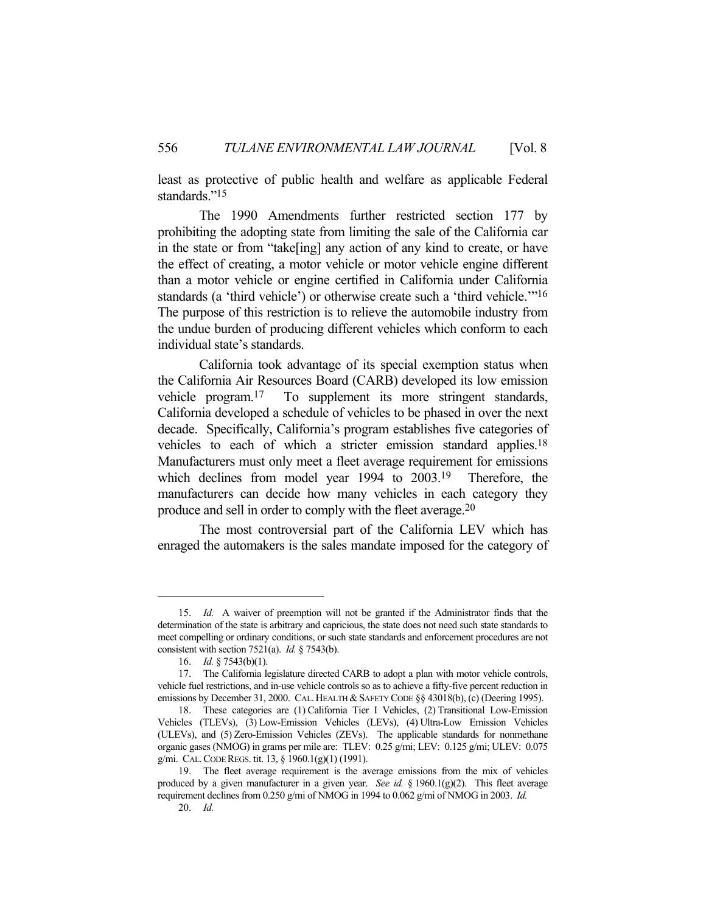least as protective of public health and welfare as applicable Federal standards."<sup>15</sup>

 The 1990 Amendments further restricted section 177 by prohibiting the adopting state from limiting the sale of the California car in the state or from "take[ing] any action of any kind to create, or have the effect of creating, a motor vehicle or motor vehicle engine different than a motor vehicle or engine certified in California under California standards (a 'third vehicle') or otherwise create such a 'third vehicle.'"16 The purpose of this restriction is to relieve the automobile industry from the undue burden of producing different vehicles which conform to each individual state's standards.

 California took advantage of its special exemption status when the California Air Resources Board (CARB) developed its low emission vehicle program.17 To supplement its more stringent standards, California developed a schedule of vehicles to be phased in over the next decade. Specifically, California's program establishes five categories of vehicles to each of which a stricter emission standard applies.18 Manufacturers must only meet a fleet average requirement for emissions which declines from model year 1994 to 2003.19 Therefore, the manufacturers can decide how many vehicles in each category they produce and sell in order to comply with the fleet average.20

 The most controversial part of the California LEV which has enraged the automakers is the sales mandate imposed for the category of

 <sup>15.</sup> *Id.* A waiver of preemption will not be granted if the Administrator finds that the determination of the state is arbitrary and capricious, the state does not need such state standards to meet compelling or ordinary conditions, or such state standards and enforcement procedures are not consistent with section 7521(a). *Id.* § 7543(b).

 <sup>16.</sup> *Id.* § 7543(b)(1).

 <sup>17.</sup> The California legislature directed CARB to adopt a plan with motor vehicle controls, vehicle fuel restrictions, and in-use vehicle controls so as to achieve a fifty-five percent reduction in emissions by December 31, 2000. CAL. HEALTH & SAFETY CODE §§ 43018(b), (c) (Deering 1995).

 <sup>18.</sup> These categories are (1) California Tier I Vehicles, (2) Transitional Low-Emission Vehicles (TLEVs), (3) Low-Emission Vehicles (LEVs), (4) Ultra-Low Emission Vehicles (ULEVs), and (5) Zero-Emission Vehicles (ZEVs). The applicable standards for nonmethane organic gases (NMOG) in grams per mile are: TLEV: 0.25 g/mi; LEV: 0.125 g/mi; ULEV: 0.075 g/mi. CAL.CODE REGS. tit. 13, § 1960.1(g)(1) (1991).

 <sup>19.</sup> The fleet average requirement is the average emissions from the mix of vehicles produced by a given manufacturer in a given year. *See id.* § 1960.1(g)(2). This fleet average requirement declines from 0.250 g/mi of NMOG in 1994 to 0.062 g/mi of NMOG in 2003. *Id.*

 <sup>20.</sup> *Id.*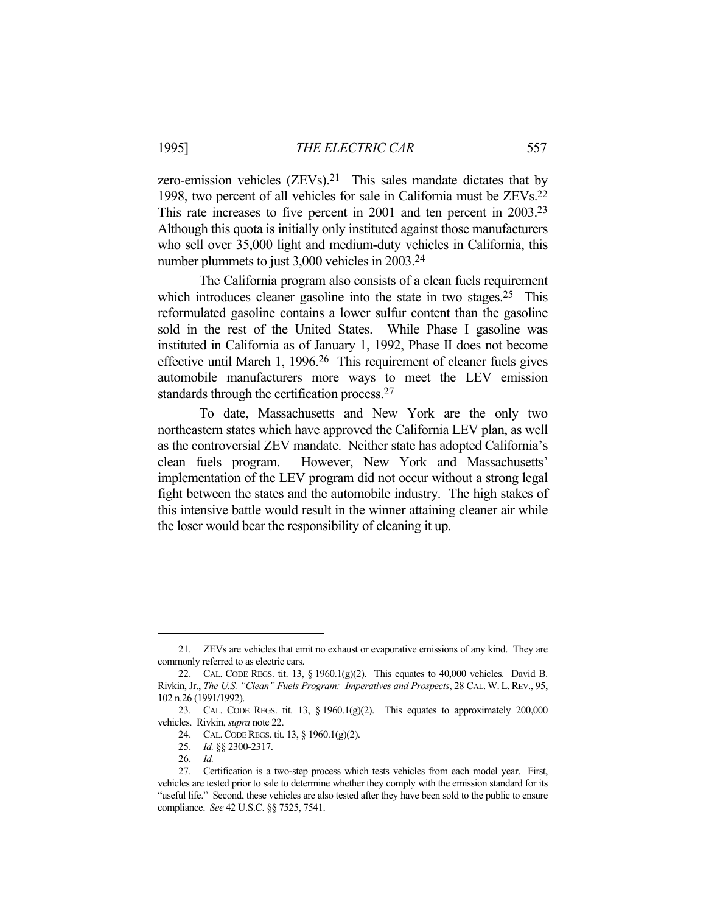zero-emission vehicles  $(ZEVs)$ .<sup>21</sup> This sales mandate dictates that by 1998, two percent of all vehicles for sale in California must be ZEVs.22 This rate increases to five percent in 2001 and ten percent in 2003.23 Although this quota is initially only instituted against those manufacturers who sell over 35,000 light and medium-duty vehicles in California, this number plummets to just 3,000 vehicles in 2003.24

 The California program also consists of a clean fuels requirement which introduces cleaner gasoline into the state in two stages.<sup>25</sup> This reformulated gasoline contains a lower sulfur content than the gasoline sold in the rest of the United States. While Phase I gasoline was instituted in California as of January 1, 1992, Phase II does not become effective until March 1, 1996.26 This requirement of cleaner fuels gives automobile manufacturers more ways to meet the LEV emission standards through the certification process.27

 To date, Massachusetts and New York are the only two northeastern states which have approved the California LEV plan, as well as the controversial ZEV mandate. Neither state has adopted California's clean fuels program. However, New York and Massachusetts' implementation of the LEV program did not occur without a strong legal fight between the states and the automobile industry. The high stakes of this intensive battle would result in the winner attaining cleaner air while the loser would bear the responsibility of cleaning it up.

 <sup>21.</sup> ZEVs are vehicles that emit no exhaust or evaporative emissions of any kind. They are commonly referred to as electric cars.

 <sup>22.</sup> CAL. CODE REGS. tit. 13, § 1960.1(g)(2). This equates to 40,000 vehicles. David B. Rivkin, Jr., *The U.S. "Clean" Fuels Program: Imperatives and Prospects*, 28 CAL.W. L.REV., 95, 102 n.26 (1991/1992).

<sup>23.</sup> CAL. CODE REGS. tit. 13,  $\S$  1960.1(g)(2). This equates to approximately 200,000 vehicles. Rivkin, *supra* note 22.

 <sup>24.</sup> CAL.CODE REGS. tit. 13, § 1960.1(g)(2).

 <sup>25.</sup> *Id.* §§ 2300-2317.

 <sup>26.</sup> *Id.*

 <sup>27.</sup> Certification is a two-step process which tests vehicles from each model year. First, vehicles are tested prior to sale to determine whether they comply with the emission standard for its "useful life." Second, these vehicles are also tested after they have been sold to the public to ensure compliance. *See* 42 U.S.C. §§ 7525, 7541.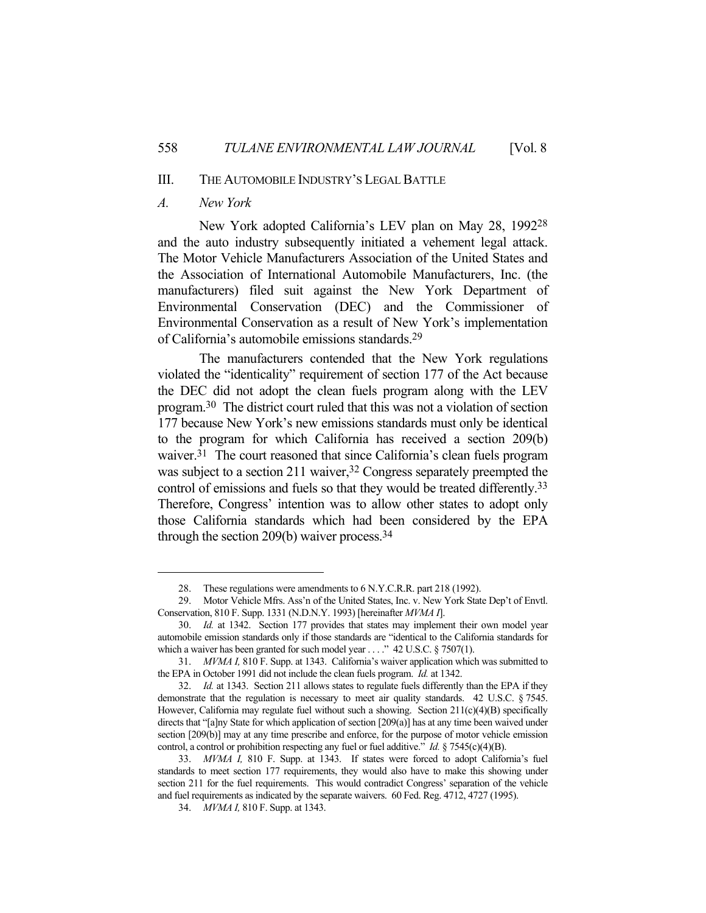# III. THE AUTOMOBILE INDUSTRY'S LEGAL BATTLE

#### *A. New York*

 New York adopted California's LEV plan on May 28, 199228 and the auto industry subsequently initiated a vehement legal attack. The Motor Vehicle Manufacturers Association of the United States and the Association of International Automobile Manufacturers, Inc. (the manufacturers) filed suit against the New York Department of Environmental Conservation (DEC) and the Commissioner of Environmental Conservation as a result of New York's implementation of California's automobile emissions standards.29

 The manufacturers contended that the New York regulations violated the "identicality" requirement of section 177 of the Act because the DEC did not adopt the clean fuels program along with the LEV program.30 The district court ruled that this was not a violation of section 177 because New York's new emissions standards must only be identical to the program for which California has received a section 209(b) waiver.<sup>31</sup> The court reasoned that since California's clean fuels program was subject to a section 211 waiver,<sup>32</sup> Congress separately preempted the control of emissions and fuels so that they would be treated differently.33 Therefore, Congress' intention was to allow other states to adopt only those California standards which had been considered by the EPA through the section 209(b) waiver process.34

 <sup>28.</sup> These regulations were amendments to 6 N.Y.C.R.R. part 218 (1992).

 <sup>29.</sup> Motor Vehicle Mfrs. Ass'n of the United States, Inc. v. New York State Dep't of Envtl. Conservation, 810 F. Supp. 1331 (N.D.N.Y. 1993) [hereinafter *MVMA I*].

 <sup>30.</sup> *Id.* at 1342. Section 177 provides that states may implement their own model year automobile emission standards only if those standards are "identical to the California standards for which a waiver has been granted for such model year . . . ." 42 U.S.C. § 7507(1).

 <sup>31.</sup> *MVMA I,* 810 F. Supp. at 1343. California's waiver application which was submitted to the EPA in October 1991 did not include the clean fuels program. *Id.* at 1342.

<sup>32.</sup> *Id.* at 1343. Section 211 allows states to regulate fuels differently than the EPA if they demonstrate that the regulation is necessary to meet air quality standards. 42 U.S.C. § 7545. However, California may regulate fuel without such a showing. Section 211(c)(4)(B) specifically directs that "[a]ny State for which application of section [209(a)] has at any time been waived under section [209(b)] may at any time prescribe and enforce, for the purpose of motor vehicle emission control, a control or prohibition respecting any fuel or fuel additive." *Id.* § 7545(c)(4)(B).

 <sup>33.</sup> *MVMA I,* 810 F. Supp. at 1343. If states were forced to adopt California's fuel standards to meet section 177 requirements, they would also have to make this showing under section 211 for the fuel requirements. This would contradict Congress' separation of the vehicle and fuel requirements as indicated by the separate waivers. 60 Fed. Reg. 4712, 4727 (1995).

 <sup>34.</sup> *MVMA I,* 810 F. Supp. at 1343.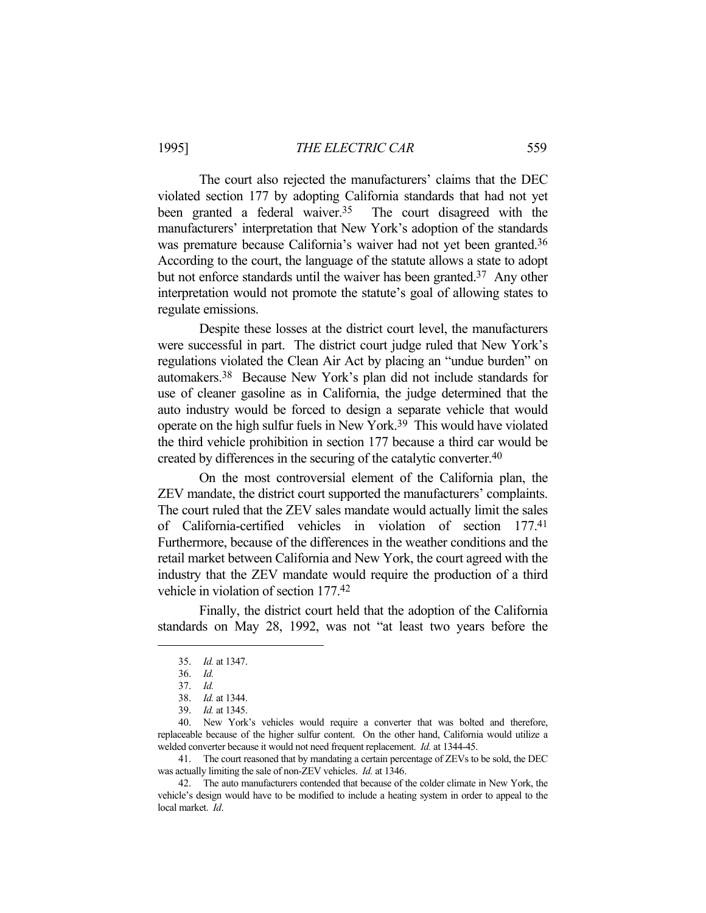### 1995] *THE ELECTRIC CAR* 559

 The court also rejected the manufacturers' claims that the DEC violated section 177 by adopting California standards that had not yet been granted a federal waiver.<sup>35</sup> The court disagreed with the manufacturers' interpretation that New York's adoption of the standards was premature because California's waiver had not yet been granted.<sup>36</sup> According to the court, the language of the statute allows a state to adopt but not enforce standards until the waiver has been granted.<sup>37</sup> Any other interpretation would not promote the statute's goal of allowing states to regulate emissions.

 Despite these losses at the district court level, the manufacturers were successful in part. The district court judge ruled that New York's regulations violated the Clean Air Act by placing an "undue burden" on automakers.38 Because New York's plan did not include standards for use of cleaner gasoline as in California, the judge determined that the auto industry would be forced to design a separate vehicle that would operate on the high sulfur fuels in New York.39 This would have violated the third vehicle prohibition in section 177 because a third car would be created by differences in the securing of the catalytic converter.40

 On the most controversial element of the California plan, the ZEV mandate, the district court supported the manufacturers' complaints. The court ruled that the ZEV sales mandate would actually limit the sales of California-certified vehicles in violation of section 177.41 Furthermore, because of the differences in the weather conditions and the retail market between California and New York, the court agreed with the industry that the ZEV mandate would require the production of a third vehicle in violation of section 177.42

 Finally, the district court held that the adoption of the California standards on May 28, 1992, was not "at least two years before the

 40. New York's vehicles would require a converter that was bolted and therefore, replaceable because of the higher sulfur content. On the other hand, California would utilize a welded converter because it would not need frequent replacement. *Id.* at 1344-45.

 41. The court reasoned that by mandating a certain percentage of ZEVs to be sold, the DEC was actually limiting the sale of non-ZEV vehicles. *Id.* at 1346.

 42. The auto manufacturers contended that because of the colder climate in New York, the vehicle's design would have to be modified to include a heating system in order to appeal to the local market. *Id*.

 <sup>35.</sup> *Id.* at 1347.

 <sup>36.</sup> *Id.*

 <sup>37.</sup> *Id.*

 <sup>38.</sup> *Id.* at 1344.

 <sup>39.</sup> *Id.* at 1345.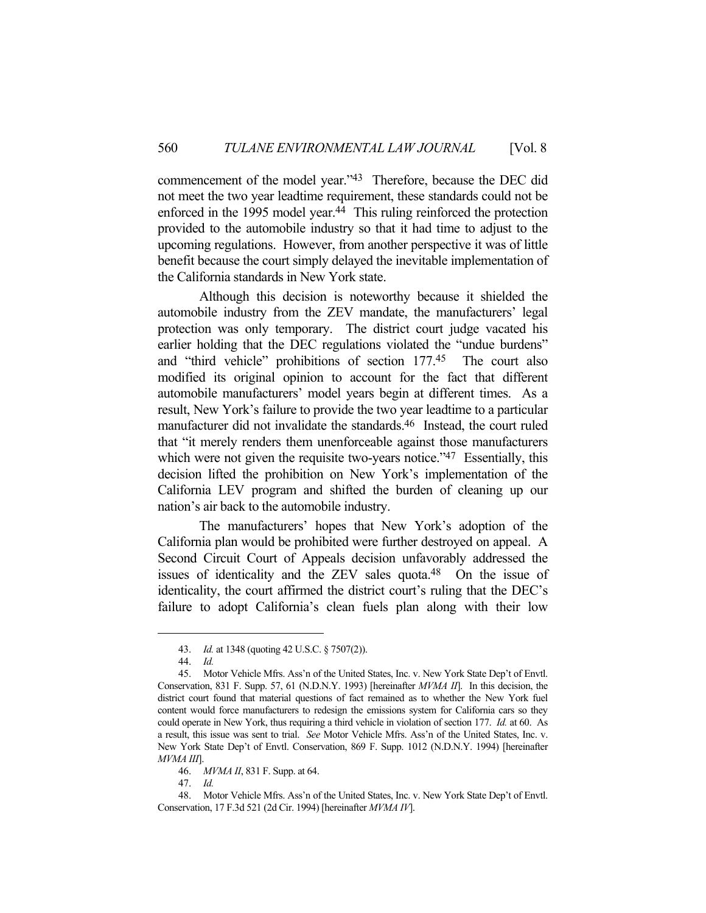commencement of the model year."43 Therefore, because the DEC did not meet the two year leadtime requirement, these standards could not be enforced in the 1995 model year.<sup>44</sup> This ruling reinforced the protection provided to the automobile industry so that it had time to adjust to the upcoming regulations. However, from another perspective it was of little benefit because the court simply delayed the inevitable implementation of the California standards in New York state.

 Although this decision is noteworthy because it shielded the automobile industry from the ZEV mandate, the manufacturers' legal protection was only temporary. The district court judge vacated his earlier holding that the DEC regulations violated the "undue burdens" and "third vehicle" prohibitions of section 177.45 The court also modified its original opinion to account for the fact that different automobile manufacturers' model years begin at different times. As a result, New York's failure to provide the two year leadtime to a particular manufacturer did not invalidate the standards.46 Instead, the court ruled that "it merely renders them unenforceable against those manufacturers which were not given the requisite two-years notice."<sup>47</sup> Essentially, this decision lifted the prohibition on New York's implementation of the California LEV program and shifted the burden of cleaning up our nation's air back to the automobile industry.

 The manufacturers' hopes that New York's adoption of the California plan would be prohibited were further destroyed on appeal. A Second Circuit Court of Appeals decision unfavorably addressed the issues of identicality and the ZEV sales quota.48 On the issue of identicality, the court affirmed the district court's ruling that the DEC's failure to adopt California's clean fuels plan along with their low

47. *Id.*

 <sup>43.</sup> *Id.* at 1348 (quoting 42 U.S.C. § 7507(2)).

 <sup>44.</sup> *Id.*

 <sup>45.</sup> Motor Vehicle Mfrs. Ass'n of the United States, Inc. v. New York State Dep't of Envtl. Conservation, 831 F. Supp. 57, 61 (N.D.N.Y. 1993) [hereinafter *MVMA II*]. In this decision, the district court found that material questions of fact remained as to whether the New York fuel content would force manufacturers to redesign the emissions system for California cars so they could operate in New York, thus requiring a third vehicle in violation of section 177. *Id.* at 60. As a result, this issue was sent to trial. *See* Motor Vehicle Mfrs. Ass'n of the United States, Inc. v. New York State Dep't of Envtl. Conservation, 869 F. Supp. 1012 (N.D.N.Y. 1994) [hereinafter *MVMA III*].

 <sup>46.</sup> *MVMA II*, 831 F. Supp. at 64.

 <sup>48.</sup> Motor Vehicle Mfrs. Ass'n of the United States, Inc. v. New York State Dep't of Envtl. Conservation, 17 F.3d 521 (2d Cir. 1994) [hereinafter *MVMA IV*].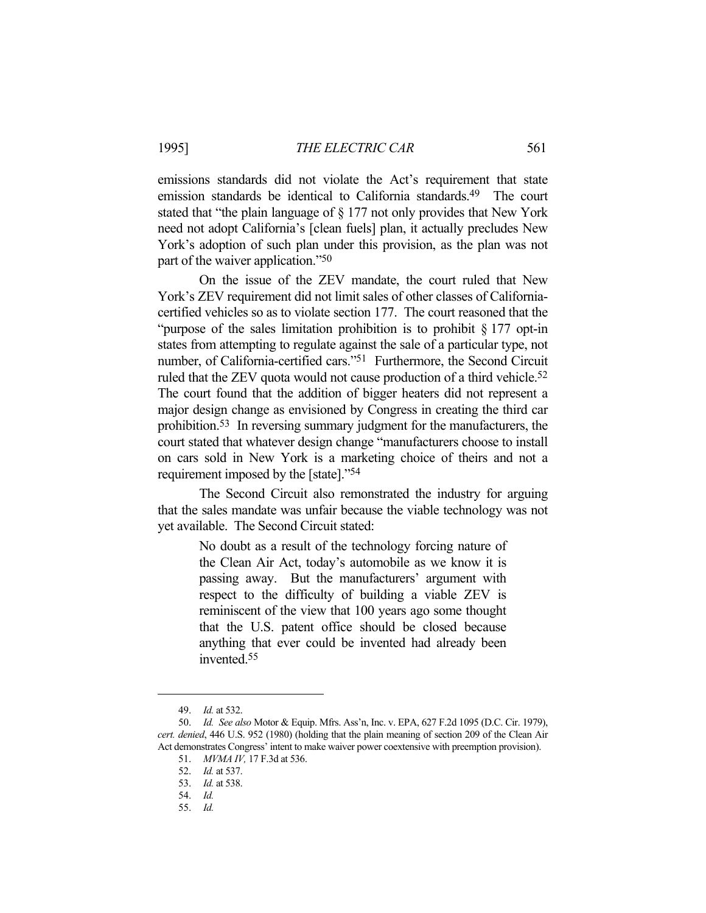emissions standards did not violate the Act's requirement that state emission standards be identical to California standards.<sup>49</sup> The court stated that "the plain language of § 177 not only provides that New York need not adopt California's [clean fuels] plan, it actually precludes New York's adoption of such plan under this provision, as the plan was not part of the waiver application."50

 On the issue of the ZEV mandate, the court ruled that New York's ZEV requirement did not limit sales of other classes of Californiacertified vehicles so as to violate section 177. The court reasoned that the "purpose of the sales limitation prohibition is to prohibit § 177 opt-in states from attempting to regulate against the sale of a particular type, not number, of California-certified cars."51 Furthermore, the Second Circuit ruled that the ZEV quota would not cause production of a third vehicle.<sup>52</sup> The court found that the addition of bigger heaters did not represent a major design change as envisioned by Congress in creating the third car prohibition.53 In reversing summary judgment for the manufacturers, the court stated that whatever design change "manufacturers choose to install on cars sold in New York is a marketing choice of theirs and not a requirement imposed by the [state]."54

 The Second Circuit also remonstrated the industry for arguing that the sales mandate was unfair because the viable technology was not yet available. The Second Circuit stated:

> No doubt as a result of the technology forcing nature of the Clean Air Act, today's automobile as we know it is passing away. But the manufacturers' argument with respect to the difficulty of building a viable ZEV is reminiscent of the view that 100 years ago some thought that the U.S. patent office should be closed because anything that ever could be invented had already been invented.55

 <sup>49.</sup> *Id.* at 532.

 <sup>50.</sup> *Id. See also* Motor & Equip. Mfrs. Ass'n, Inc. v. EPA, 627 F.2d 1095 (D.C. Cir. 1979), *cert. denied*, 446 U.S. 952 (1980) (holding that the plain meaning of section 209 of the Clean Air Act demonstrates Congress' intent to make waiver power coextensive with preemption provision).

 <sup>51.</sup> *MVMA IV,* 17 F.3d at 536.

 <sup>52.</sup> *Id.* at 537.

 <sup>53.</sup> *Id.* at 538.

 <sup>54.</sup> *Id.*

 <sup>55.</sup> *Id.*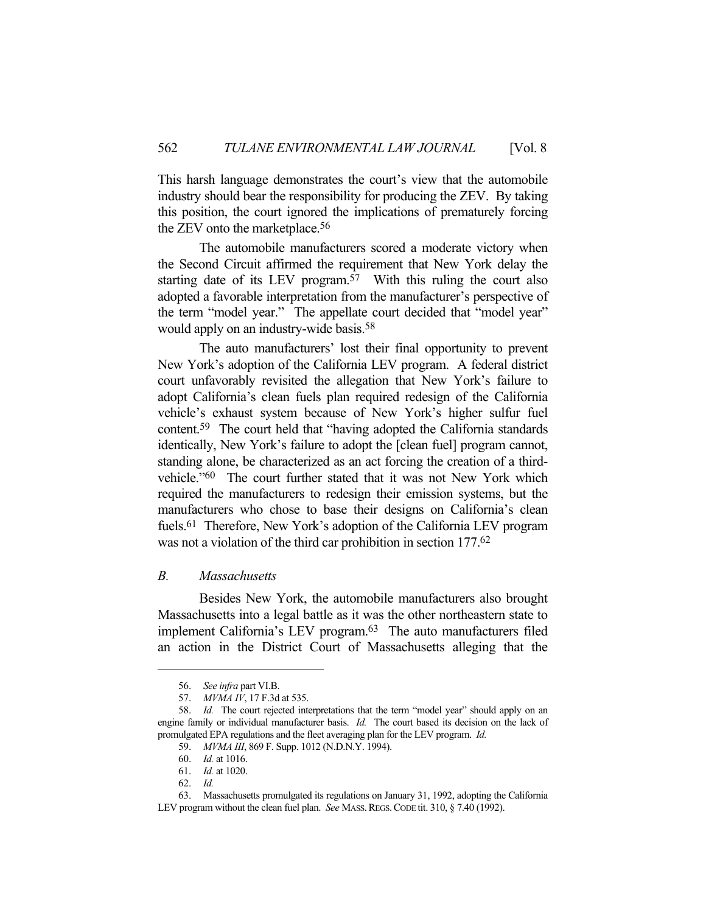This harsh language demonstrates the court's view that the automobile industry should bear the responsibility for producing the ZEV. By taking this position, the court ignored the implications of prematurely forcing the ZEV onto the marketplace.56

 The automobile manufacturers scored a moderate victory when the Second Circuit affirmed the requirement that New York delay the starting date of its LEV program.57 With this ruling the court also adopted a favorable interpretation from the manufacturer's perspective of the term "model year." The appellate court decided that "model year" would apply on an industry-wide basis.<sup>58</sup>

 The auto manufacturers' lost their final opportunity to prevent New York's adoption of the California LEV program. A federal district court unfavorably revisited the allegation that New York's failure to adopt California's clean fuels plan required redesign of the California vehicle's exhaust system because of New York's higher sulfur fuel content.59 The court held that "having adopted the California standards identically, New York's failure to adopt the [clean fuel] program cannot, standing alone, be characterized as an act forcing the creation of a thirdvehicle."60 The court further stated that it was not New York which required the manufacturers to redesign their emission systems, but the manufacturers who chose to base their designs on California's clean fuels.<sup>61</sup> Therefore, New York's adoption of the California LEV program was not a violation of the third car prohibition in section 177. 62

#### *B. Massachusetts*

 Besides New York, the automobile manufacturers also brought Massachusetts into a legal battle as it was the other northeastern state to implement California's LEV program.<sup>63</sup> The auto manufacturers filed an action in the District Court of Massachusetts alleging that the

 <sup>56.</sup> *See infra* part VI.B.

 <sup>57.</sup> *MVMA IV*, 17 F.3d at 535.

 <sup>58.</sup> *Id.* The court rejected interpretations that the term "model year" should apply on an engine family or individual manufacturer basis. *Id.* The court based its decision on the lack of promulgated EPA regulations and the fleet averaging plan for the LEV program. *Id.*

 <sup>59.</sup> *MVMA III*, 869 F. Supp. 1012 (N.D.N.Y. 1994).

 <sup>60.</sup> *Id.* at 1016.

 <sup>61.</sup> *Id.* at 1020.

 <sup>62.</sup> *Id.*

 <sup>63.</sup> Massachusetts promulgated its regulations on January 31, 1992, adopting the California LEV program without the clean fuel plan. *See* MASS. REGS. CODE tit. 310, § 7.40 (1992).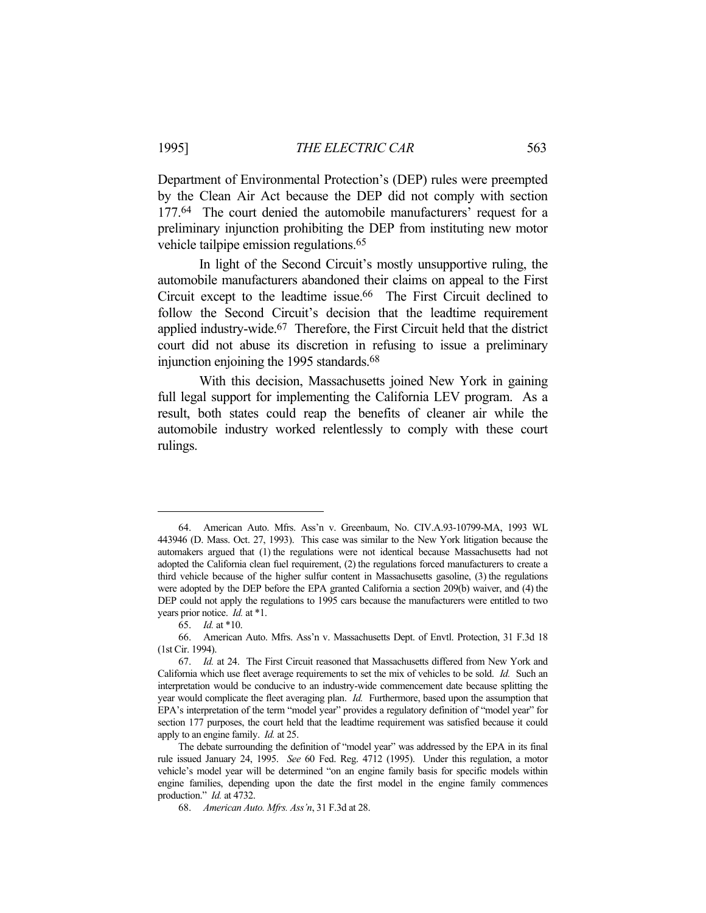Department of Environmental Protection's (DEP) rules were preempted by the Clean Air Act because the DEP did not comply with section 177.64 The court denied the automobile manufacturers' request for a preliminary injunction prohibiting the DEP from instituting new motor vehicle tailpipe emission regulations.<sup>65</sup>

 In light of the Second Circuit's mostly unsupportive ruling, the automobile manufacturers abandoned their claims on appeal to the First Circuit except to the leadtime issue.<sup>66</sup> The First Circuit declined to follow the Second Circuit's decision that the leadtime requirement applied industry-wide.<sup>67</sup> Therefore, the First Circuit held that the district court did not abuse its discretion in refusing to issue a preliminary injunction enjoining the 1995 standards.<sup>68</sup>

 With this decision, Massachusetts joined New York in gaining full legal support for implementing the California LEV program. As a result, both states could reap the benefits of cleaner air while the automobile industry worked relentlessly to comply with these court rulings.

 <sup>64.</sup> American Auto. Mfrs. Ass'n v. Greenbaum, No. CIV.A.93-10799-MA, 1993 WL 443946 (D. Mass. Oct. 27, 1993). This case was similar to the New York litigation because the automakers argued that (1) the regulations were not identical because Massachusetts had not adopted the California clean fuel requirement, (2) the regulations forced manufacturers to create a third vehicle because of the higher sulfur content in Massachusetts gasoline, (3) the regulations were adopted by the DEP before the EPA granted California a section 209(b) waiver, and (4) the DEP could not apply the regulations to 1995 cars because the manufacturers were entitled to two years prior notice. *Id.* at \*1.

 <sup>65.</sup> *Id.* at \*10.

 <sup>66.</sup> American Auto. Mfrs. Ass'n v. Massachusetts Dept. of Envtl. Protection, 31 F.3d 18 (1st Cir. 1994).

 <sup>67.</sup> *Id.* at 24. The First Circuit reasoned that Massachusetts differed from New York and California which use fleet average requirements to set the mix of vehicles to be sold. *Id.* Such an interpretation would be conducive to an industry-wide commencement date because splitting the year would complicate the fleet averaging plan. *Id.* Furthermore, based upon the assumption that EPA's interpretation of the term "model year" provides a regulatory definition of "model year" for section 177 purposes, the court held that the leadtime requirement was satisfied because it could apply to an engine family. *Id.* at 25.

The debate surrounding the definition of "model year" was addressed by the EPA in its final rule issued January 24, 1995. *See* 60 Fed. Reg. 4712 (1995). Under this regulation, a motor vehicle's model year will be determined "on an engine family basis for specific models within engine families, depending upon the date the first model in the engine family commences production." *Id.* at 4732.

 <sup>68.</sup> *American Auto. Mfrs. Ass'n*, 31 F.3d at 28.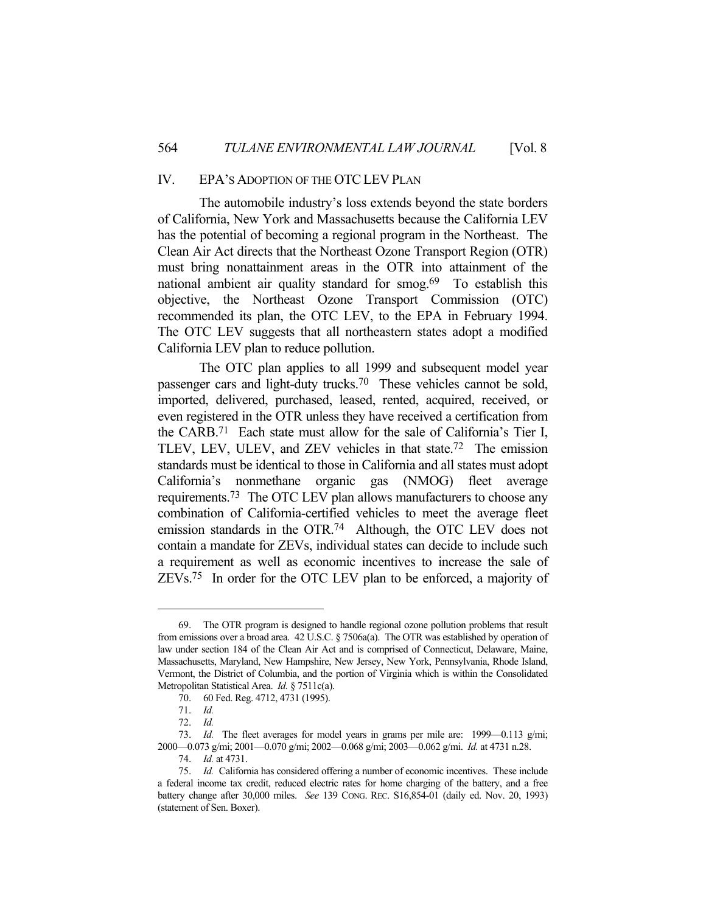# IV. EPA'S ADOPTION OF THE OTCLEV PLAN

 The automobile industry's loss extends beyond the state borders of California, New York and Massachusetts because the California LEV has the potential of becoming a regional program in the Northeast. The Clean Air Act directs that the Northeast Ozone Transport Region (OTR) must bring nonattainment areas in the OTR into attainment of the national ambient air quality standard for smog.<sup>69</sup> To establish this objective, the Northeast Ozone Transport Commission (OTC) recommended its plan, the OTC LEV, to the EPA in February 1994. The OTC LEV suggests that all northeastern states adopt a modified California LEV plan to reduce pollution.

 The OTC plan applies to all 1999 and subsequent model year passenger cars and light-duty trucks.70 These vehicles cannot be sold, imported, delivered, purchased, leased, rented, acquired, received, or even registered in the OTR unless they have received a certification from the CARB.71 Each state must allow for the sale of California's Tier I, TLEV, LEV, ULEV, and ZEV vehicles in that state.72 The emission standards must be identical to those in California and all states must adopt California's nonmethane organic gas (NMOG) fleet average requirements.73 The OTC LEV plan allows manufacturers to choose any combination of California-certified vehicles to meet the average fleet emission standards in the OTR.74 Although, the OTC LEV does not contain a mandate for ZEVs, individual states can decide to include such a requirement as well as economic incentives to increase the sale of ZEVs.75 In order for the OTC LEV plan to be enforced, a majority of

 <sup>69.</sup> The OTR program is designed to handle regional ozone pollution problems that result from emissions over a broad area. 42 U.S.C. § 7506a(a). The OTR was established by operation of law under section 184 of the Clean Air Act and is comprised of Connecticut, Delaware, Maine, Massachusetts, Maryland, New Hampshire, New Jersey, New York, Pennsylvania, Rhode Island, Vermont, the District of Columbia, and the portion of Virginia which is within the Consolidated Metropolitan Statistical Area. *Id.* § 7511c(a).

 <sup>70. 60</sup> Fed. Reg. 4712, 4731 (1995).

 <sup>71.</sup> *Id.*

 <sup>72.</sup> *Id.*

 <sup>73.</sup> *Id.* The fleet averages for model years in grams per mile are: 1999—0.113 g/mi; 2000—0.073 g/mi; 2001—0.070 g/mi; 2002—0.068 g/mi; 2003—0.062 g/mi. *Id.* at 4731 n.28.

 <sup>74.</sup> *Id.* at 4731.

 <sup>75.</sup> *Id.* California has considered offering a number of economic incentives. These include a federal income tax credit, reduced electric rates for home charging of the battery, and a free battery change after 30,000 miles. *See* 139 CONG. REC. S16,854-01 (daily ed. Nov. 20, 1993) (statement of Sen. Boxer).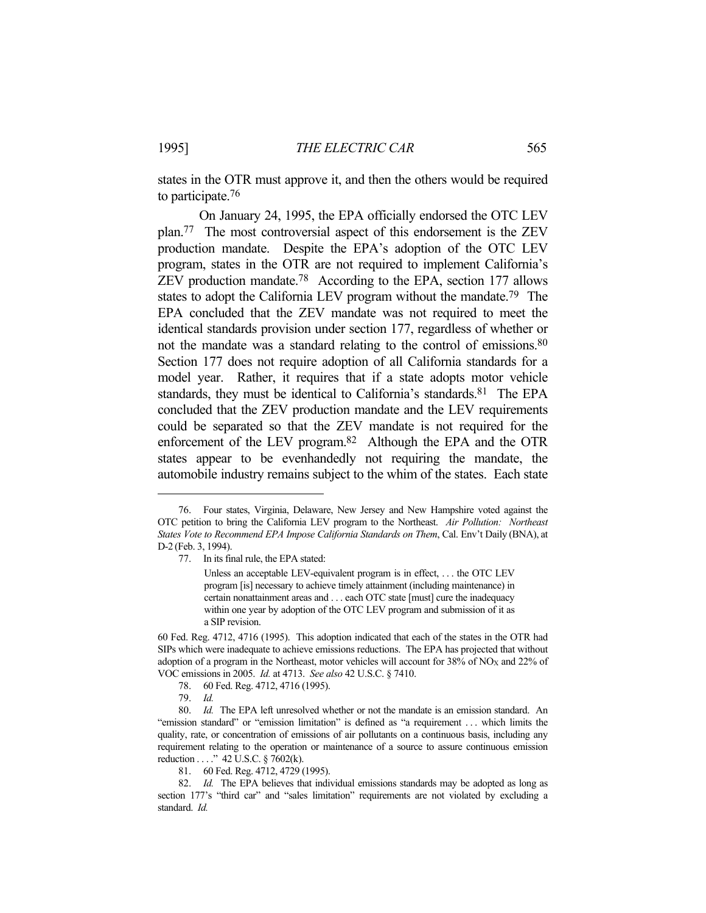states in the OTR must approve it, and then the others would be required to participate.76

 On January 24, 1995, the EPA officially endorsed the OTC LEV plan.77 The most controversial aspect of this endorsement is the ZEV production mandate. Despite the EPA's adoption of the OTC LEV program, states in the OTR are not required to implement California's ZEV production mandate.78 According to the EPA, section 177 allows states to adopt the California LEV program without the mandate.79 The EPA concluded that the ZEV mandate was not required to meet the identical standards provision under section 177, regardless of whether or not the mandate was a standard relating to the control of emissions.80 Section 177 does not require adoption of all California standards for a model year. Rather, it requires that if a state adopts motor vehicle standards, they must be identical to California's standards.<sup>81</sup> The EPA concluded that the ZEV production mandate and the LEV requirements could be separated so that the ZEV mandate is not required for the enforcement of the LEV program.82 Although the EPA and the OTR states appear to be evenhandedly not requiring the mandate, the automobile industry remains subject to the whim of the states. Each state

81. 60 Fed. Reg. 4712, 4729 (1995).

 <sup>76.</sup> Four states, Virginia, Delaware, New Jersey and New Hampshire voted against the OTC petition to bring the California LEV program to the Northeast. *Air Pollution: Northeast States Vote to Recommend EPA Impose California Standards on Them*, Cal. Env't Daily (BNA), at D-2 (Feb. 3, 1994).

 <sup>77.</sup> In its final rule, the EPA stated:

Unless an acceptable LEV-equivalent program is in effect, . . . the OTC LEV program [is] necessary to achieve timely attainment (including maintenance) in certain nonattainment areas and . . . each OTC state [must] cure the inadequacy within one year by adoption of the OTC LEV program and submission of it as a SIP revision.

<sup>60</sup> Fed. Reg. 4712, 4716 (1995). This adoption indicated that each of the states in the OTR had SIPs which were inadequate to achieve emissions reductions. The EPA has projected that without adoption of a program in the Northeast, motor vehicles will account for 38% of NO<sub>X</sub> and 22% of VOC emissions in 2005. *Id.* at 4713. *See also* 42 U.S.C. § 7410.

 <sup>78. 60</sup> Fed. Reg. 4712, 4716 (1995).

 <sup>79.</sup> *Id.*

 <sup>80.</sup> *Id.* The EPA left unresolved whether or not the mandate is an emission standard. An "emission standard" or "emission limitation" is defined as "a requirement . . . which limits the quality, rate, or concentration of emissions of air pollutants on a continuous basis, including any requirement relating to the operation or maintenance of a source to assure continuous emission reduction . . . ." 42 U.S.C. § 7602(k).

 <sup>82.</sup> *Id.* The EPA believes that individual emissions standards may be adopted as long as section 177's "third car" and "sales limitation" requirements are not violated by excluding a standard. *Id.*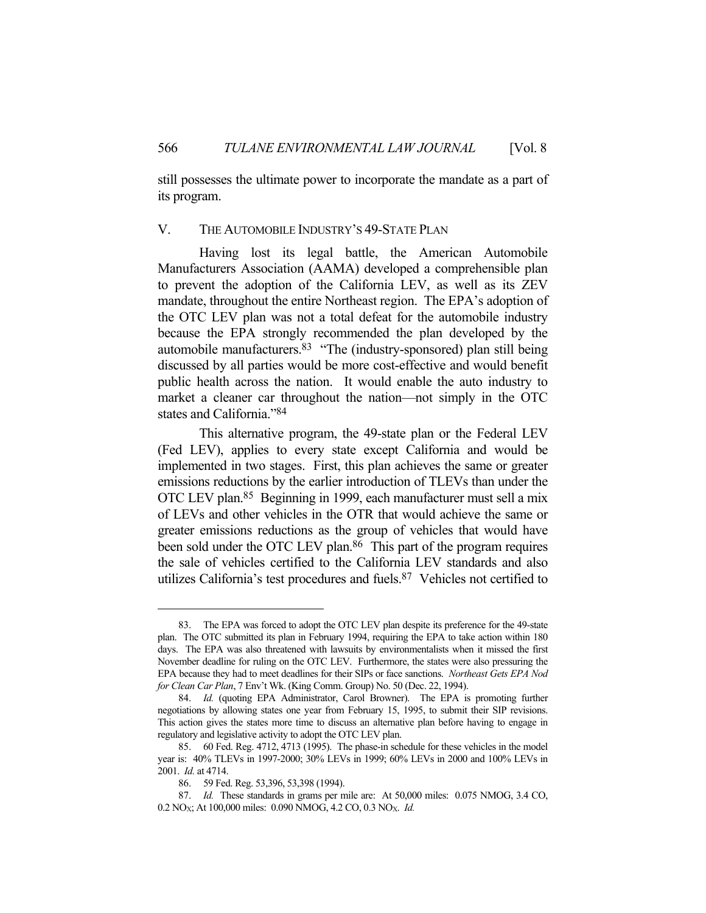still possesses the ultimate power to incorporate the mandate as a part of its program.

#### V. THE AUTOMOBILE INDUSTRY'S 49-STATE PLAN

 Having lost its legal battle, the American Automobile Manufacturers Association (AAMA) developed a comprehensible plan to prevent the adoption of the California LEV, as well as its ZEV mandate, throughout the entire Northeast region. The EPA's adoption of the OTC LEV plan was not a total defeat for the automobile industry because the EPA strongly recommended the plan developed by the automobile manufacturers.83 "The (industry-sponsored) plan still being discussed by all parties would be more cost-effective and would benefit public health across the nation. It would enable the auto industry to market a cleaner car throughout the nation—not simply in the OTC states and California."84

 This alternative program, the 49-state plan or the Federal LEV (Fed LEV), applies to every state except California and would be implemented in two stages. First, this plan achieves the same or greater emissions reductions by the earlier introduction of TLEVs than under the OTC LEV plan.85 Beginning in 1999, each manufacturer must sell a mix of LEVs and other vehicles in the OTR that would achieve the same or greater emissions reductions as the group of vehicles that would have been sold under the OTC LEV plan.<sup>86</sup> This part of the program requires the sale of vehicles certified to the California LEV standards and also utilizes California's test procedures and fuels.87 Vehicles not certified to

 <sup>83.</sup> The EPA was forced to adopt the OTC LEV plan despite its preference for the 49-state plan. The OTC submitted its plan in February 1994, requiring the EPA to take action within 180 days. The EPA was also threatened with lawsuits by environmentalists when it missed the first November deadline for ruling on the OTC LEV. Furthermore, the states were also pressuring the EPA because they had to meet deadlines for their SIPs or face sanctions. *Northeast Gets EPA Nod for Clean Car Plan*, 7 Env't Wk. (King Comm. Group) No. 50 (Dec. 22, 1994).

 <sup>84.</sup> *Id.* (quoting EPA Administrator, Carol Browner). The EPA is promoting further negotiations by allowing states one year from February 15, 1995, to submit their SIP revisions. This action gives the states more time to discuss an alternative plan before having to engage in regulatory and legislative activity to adopt the OTC LEV plan.

 <sup>85. 60</sup> Fed. Reg. 4712, 4713 (1995). The phase-in schedule for these vehicles in the model year is: 40% TLEVs in 1997-2000; 30% LEVs in 1999; 60% LEVs in 2000 and 100% LEVs in 2001. *Id.* at 4714.

 <sup>86. 59</sup> Fed. Reg. 53,396, 53,398 (1994).

 <sup>87.</sup> *Id.* These standards in grams per mile are: At 50,000 miles: 0.075 NMOG, 3.4 CO, 0.2 NOX; At 100,000 miles: 0.090 NMOG, 4.2 CO, 0.3 NOX. *Id.*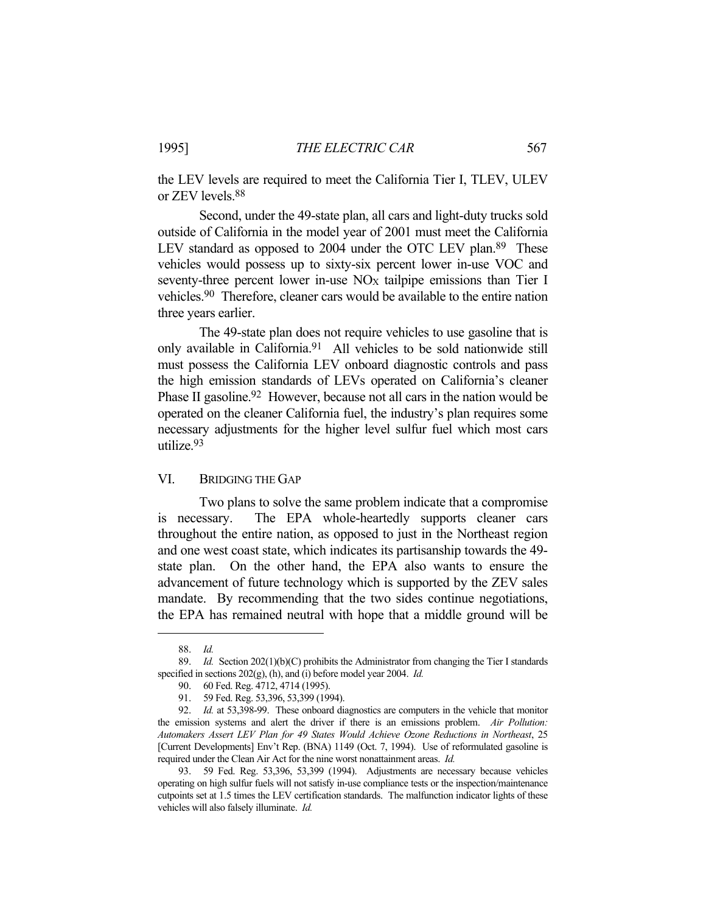the LEV levels are required to meet the California Tier I, TLEV, ULEV or ZEV levels.88

 Second, under the 49-state plan, all cars and light-duty trucks sold outside of California in the model year of 2001 must meet the California LEV standard as opposed to 2004 under the OTC LEV plan.<sup>89</sup> These vehicles would possess up to sixty-six percent lower in-use VOC and seventy-three percent lower in-use  $NO_X$  tailpipe emissions than Tier I vehicles.90 Therefore, cleaner cars would be available to the entire nation three years earlier.

 The 49-state plan does not require vehicles to use gasoline that is only available in California.91 All vehicles to be sold nationwide still must possess the California LEV onboard diagnostic controls and pass the high emission standards of LEVs operated on California's cleaner Phase II gasoline.<sup>92</sup> However, because not all cars in the nation would be operated on the cleaner California fuel, the industry's plan requires some necessary adjustments for the higher level sulfur fuel which most cars utilize.93

# VI. BRIDGING THE GAP

 Two plans to solve the same problem indicate that a compromise is necessary. The EPA whole-heartedly supports cleaner cars throughout the entire nation, as opposed to just in the Northeast region and one west coast state, which indicates its partisanship towards the 49 state plan. On the other hand, the EPA also wants to ensure the advancement of future technology which is supported by the ZEV sales mandate. By recommending that the two sides continue negotiations, the EPA has remained neutral with hope that a middle ground will be

 <sup>88.</sup> *Id.*

 <sup>89.</sup> *Id.* Section 202(1)(b)(C) prohibits the Administrator from changing the Tier I standards specified in sections 202(g), (h), and (i) before model year 2004. *Id.*

 <sup>90. 60</sup> Fed. Reg. 4712, 4714 (1995).

 <sup>91. 59</sup> Fed. Reg. 53,396, 53,399 (1994).

 <sup>92.</sup> *Id.* at 53,398-99. These onboard diagnostics are computers in the vehicle that monitor the emission systems and alert the driver if there is an emissions problem. *Air Pollution: Automakers Assert LEV Plan for 49 States Would Achieve Ozone Reductions in Northeast*, 25 [Current Developments] Env't Rep. (BNA) 1149 (Oct. 7, 1994). Use of reformulated gasoline is required under the Clean Air Act for the nine worst nonattainment areas. *Id.*

 <sup>93. 59</sup> Fed. Reg. 53,396, 53,399 (1994). Adjustments are necessary because vehicles operating on high sulfur fuels will not satisfy in-use compliance tests or the inspection/maintenance cutpoints set at 1.5 times the LEV certification standards. The malfunction indicator lights of these vehicles will also falsely illuminate. *Id.*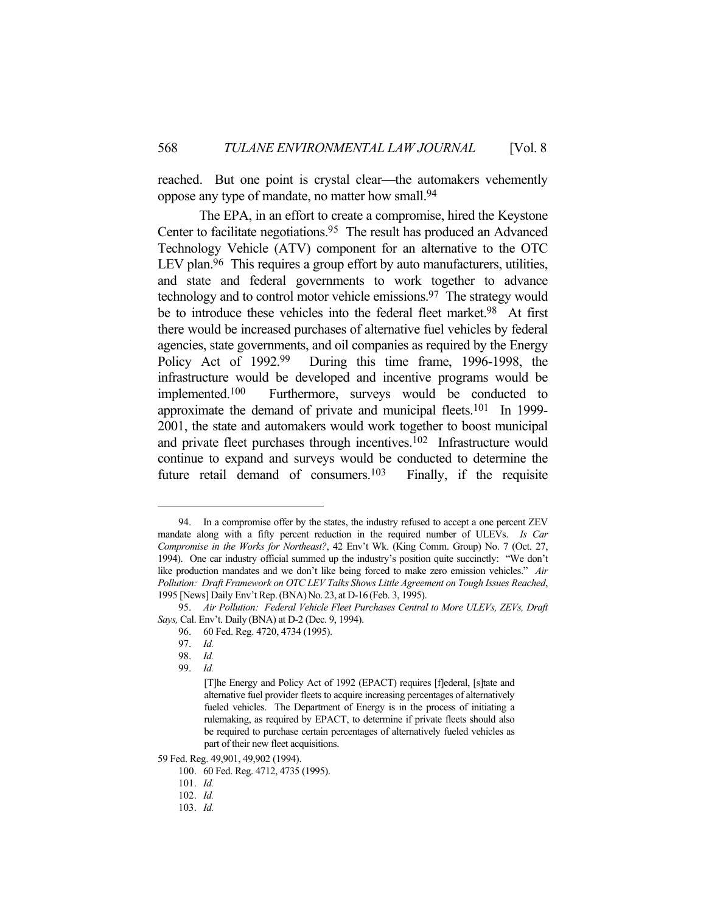reached. But one point is crystal clear—the automakers vehemently oppose any type of mandate, no matter how small.94

 The EPA, in an effort to create a compromise, hired the Keystone Center to facilitate negotiations.<sup>95</sup> The result has produced an Advanced Technology Vehicle (ATV) component for an alternative to the OTC LEV plan.<sup>96</sup> This requires a group effort by auto manufacturers, utilities, and state and federal governments to work together to advance technology and to control motor vehicle emissions.97 The strategy would be to introduce these vehicles into the federal fleet market.<sup>98</sup> At first there would be increased purchases of alternative fuel vehicles by federal agencies, state governments, and oil companies as required by the Energy Policy Act of 1992.99 During this time frame, 1996-1998, the infrastructure would be developed and incentive programs would be implemented.100 Furthermore, surveys would be conducted to approximate the demand of private and municipal fleets.101 In 1999- 2001, the state and automakers would work together to boost municipal and private fleet purchases through incentives.102 Infrastructure would continue to expand and surveys would be conducted to determine the future retail demand of consumers.<sup>103</sup> Finally, if the requisite

59 Fed. Reg. 49,901, 49,902 (1994).

 <sup>94.</sup> In a compromise offer by the states, the industry refused to accept a one percent ZEV mandate along with a fifty percent reduction in the required number of ULEVs. *Is Car Compromise in the Works for Northeast?*, 42 Env't Wk. (King Comm. Group) No. 7 (Oct. 27, 1994). One car industry official summed up the industry's position quite succinctly: "We don't like production mandates and we don't like being forced to make zero emission vehicles." *Air Pollution: Draft Framework on OTC LEV Talks Shows Little Agreement on Tough Issues Reached*, 1995 [News] Daily Env't Rep.(BNA)No. 23, at D-16 (Feb. 3, 1995).

 <sup>95.</sup> *Air Pollution: Federal Vehicle Fleet Purchases Central to More ULEVs, ZEVs, Draft Says,* Cal. Env't. Daily (BNA) at D-2 (Dec. 9, 1994).

 <sup>96. 60</sup> Fed. Reg. 4720, 4734 (1995).

 <sup>97.</sup> *Id.*

 <sup>98.</sup> *Id.*

 <sup>99.</sup> *Id.*

<sup>[</sup>T]he Energy and Policy Act of 1992 (EPACT) requires [f]ederal, [s]tate and alternative fuel provider fleets to acquire increasing percentages of alternatively fueled vehicles. The Department of Energy is in the process of initiating a rulemaking, as required by EPACT, to determine if private fleets should also be required to purchase certain percentages of alternatively fueled vehicles as part of their new fleet acquisitions.

 <sup>100. 60</sup> Fed. Reg. 4712, 4735 (1995).

 <sup>101.</sup> *Id.*

 <sup>102.</sup> *Id.*

 <sup>103.</sup> *Id.*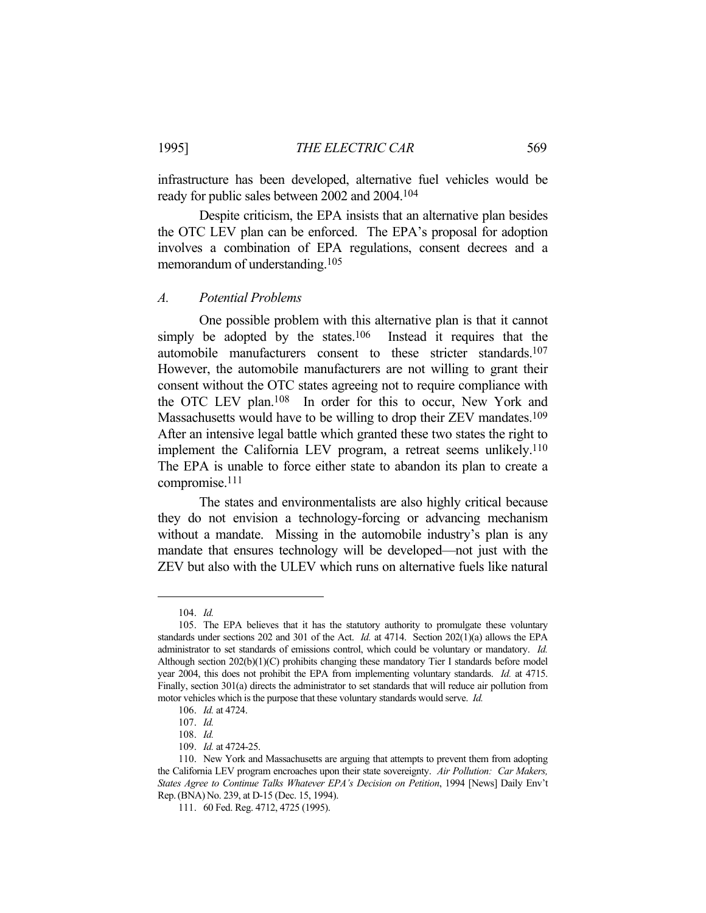infrastructure has been developed, alternative fuel vehicles would be ready for public sales between 2002 and 2004.104

 Despite criticism, the EPA insists that an alternative plan besides the OTC LEV plan can be enforced. The EPA's proposal for adoption involves a combination of EPA regulations, consent decrees and a memorandum of understanding.105

#### *A. Potential Problems*

 One possible problem with this alternative plan is that it cannot simply be adopted by the states.<sup>106</sup> Instead it requires that the automobile manufacturers consent to these stricter standards.107 However, the automobile manufacturers are not willing to grant their consent without the OTC states agreeing not to require compliance with the OTC LEV plan.108 In order for this to occur, New York and Massachusetts would have to be willing to drop their ZEV mandates.<sup>109</sup> After an intensive legal battle which granted these two states the right to implement the California LEV program, a retreat seems unlikely.110 The EPA is unable to force either state to abandon its plan to create a compromise.111

 The states and environmentalists are also highly critical because they do not envision a technology-forcing or advancing mechanism without a mandate. Missing in the automobile industry's plan is any mandate that ensures technology will be developed—not just with the ZEV but also with the ULEV which runs on alternative fuels like natural

 <sup>104.</sup> *Id.*

 <sup>105.</sup> The EPA believes that it has the statutory authority to promulgate these voluntary standards under sections 202 and 301 of the Act. *Id.* at 4714. Section 202(1)(a) allows the EPA administrator to set standards of emissions control, which could be voluntary or mandatory. *Id.* Although section 202(b)(1)(C) prohibits changing these mandatory Tier I standards before model year 2004, this does not prohibit the EPA from implementing voluntary standards. *Id.* at 4715. Finally, section 301(a) directs the administrator to set standards that will reduce air pollution from motor vehicles which is the purpose that these voluntary standards would serve. *Id.*

 <sup>106.</sup> *Id.* at 4724.

 <sup>107.</sup> *Id.*

 <sup>108.</sup> *Id.*

 <sup>109.</sup> *Id.* at 4724-25.

 <sup>110.</sup> New York and Massachusetts are arguing that attempts to prevent them from adopting the California LEV program encroaches upon their state sovereignty. *Air Pollution: Car Makers, States Agree to Continue Talks Whatever EPA's Decision on Petition*, 1994 [News] Daily Env't Rep.(BNA)No. 239, at D-15 (Dec. 15, 1994).

 <sup>111. 60</sup> Fed. Reg. 4712, 4725 (1995).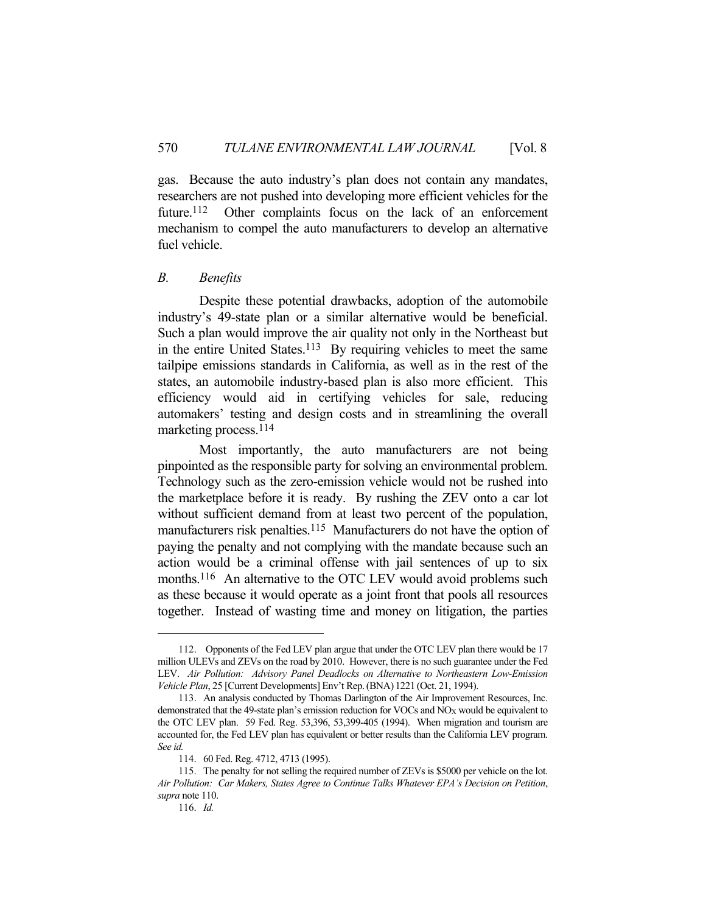gas. Because the auto industry's plan does not contain any mandates, researchers are not pushed into developing more efficient vehicles for the future.<sup>112</sup> Other complaints focus on the lack of an enforcement mechanism to compel the auto manufacturers to develop an alternative fuel vehicle.

# *B. Benefits*

 Despite these potential drawbacks, adoption of the automobile industry's 49-state plan or a similar alternative would be beneficial. Such a plan would improve the air quality not only in the Northeast but in the entire United States.<sup>113</sup> By requiring vehicles to meet the same tailpipe emissions standards in California, as well as in the rest of the states, an automobile industry-based plan is also more efficient. This efficiency would aid in certifying vehicles for sale, reducing automakers' testing and design costs and in streamlining the overall marketing process.114

 Most importantly, the auto manufacturers are not being pinpointed as the responsible party for solving an environmental problem. Technology such as the zero-emission vehicle would not be rushed into the marketplace before it is ready. By rushing the ZEV onto a car lot without sufficient demand from at least two percent of the population, manufacturers risk penalties.<sup>115</sup> Manufacturers do not have the option of paying the penalty and not complying with the mandate because such an action would be a criminal offense with jail sentences of up to six months.<sup>116</sup> An alternative to the OTC LEV would avoid problems such as these because it would operate as a joint front that pools all resources together. Instead of wasting time and money on litigation, the parties

 <sup>112.</sup> Opponents of the Fed LEV plan argue that under the OTC LEV plan there would be 17 million ULEVs and ZEVs on the road by 2010. However, there is no such guarantee under the Fed LEV. *Air Pollution: Advisory Panel Deadlocks on Alternative to Northeastern Low-Emission Vehicle Plan*, 25 [Current Developments] Env't Rep.(BNA) 1221 (Oct. 21, 1994).

 <sup>113.</sup> An analysis conducted by Thomas Darlington of the Air Improvement Resources, Inc. demonstrated that the 49-state plan's emission reduction for VOCs and NO<sub>X</sub> would be equivalent to the OTC LEV plan. 59 Fed. Reg. 53,396, 53,399-405 (1994). When migration and tourism are accounted for, the Fed LEV plan has equivalent or better results than the California LEV program. *See id.*

 <sup>114. 60</sup> Fed. Reg. 4712, 4713 (1995).

 <sup>115.</sup> The penalty for not selling the required number of ZEVs is \$5000 per vehicle on the lot. *Air Pollution: Car Makers, States Agree to Continue Talks Whatever EPA's Decision on Petition*, *supra* note 110.

 <sup>116.</sup> *Id.*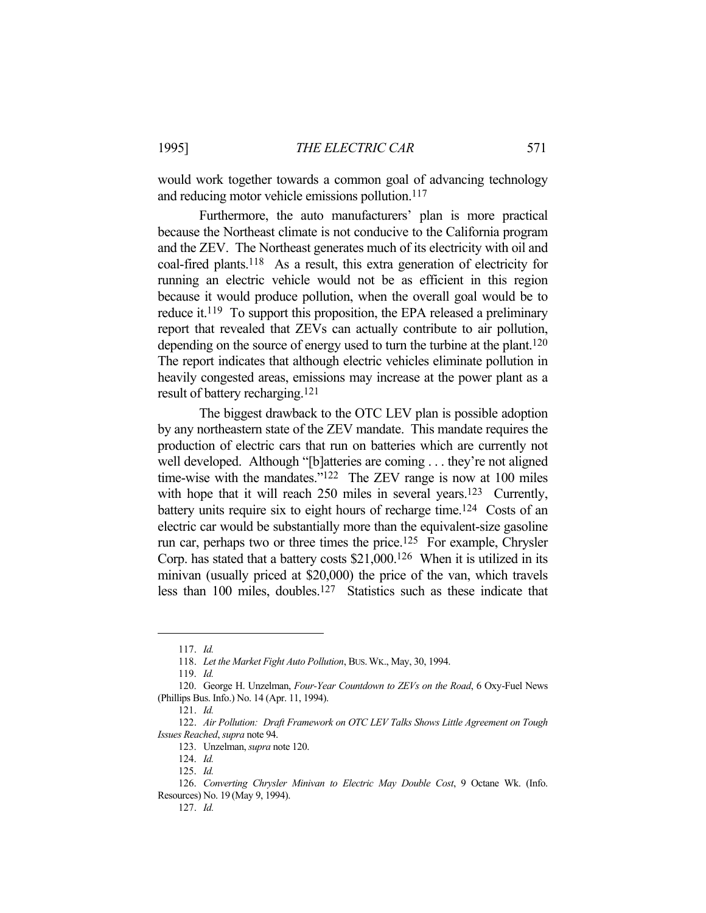would work together towards a common goal of advancing technology and reducing motor vehicle emissions pollution.<sup>117</sup>

 Furthermore, the auto manufacturers' plan is more practical because the Northeast climate is not conducive to the California program and the ZEV. The Northeast generates much of its electricity with oil and coal-fired plants.118 As a result, this extra generation of electricity for running an electric vehicle would not be as efficient in this region because it would produce pollution, when the overall goal would be to reduce it.119 To support this proposition, the EPA released a preliminary report that revealed that ZEVs can actually contribute to air pollution, depending on the source of energy used to turn the turbine at the plant.<sup>120</sup> The report indicates that although electric vehicles eliminate pollution in heavily congested areas, emissions may increase at the power plant as a result of battery recharging.121

 The biggest drawback to the OTC LEV plan is possible adoption by any northeastern state of the ZEV mandate. This mandate requires the production of electric cars that run on batteries which are currently not well developed. Although "[b]atteries are coming . . . they're not aligned time-wise with the mandates."<sup>122</sup> The ZEV range is now at 100 miles with hope that it will reach 250 miles in several years.<sup>123</sup> Currently, battery units require six to eight hours of recharge time.<sup>124</sup> Costs of an electric car would be substantially more than the equivalent-size gasoline run car, perhaps two or three times the price.125 For example, Chrysler Corp. has stated that a battery costs \$21,000.126 When it is utilized in its minivan (usually priced at \$20,000) the price of the van, which travels less than 100 miles, doubles.127 Statistics such as these indicate that

 <sup>117.</sup> *Id.*

 <sup>118.</sup> *Let the Market Fight Auto Pollution*, BUS.WK., May, 30, 1994.

 <sup>119.</sup> *Id.*

 <sup>120.</sup> George H. Unzelman, *Four-Year Countdown to ZEVs on the Road*, 6 Oxy-Fuel News (Phillips Bus. Info.) No. 14 (Apr. 11, 1994).

 <sup>121.</sup> *Id.*

 <sup>122.</sup> *Air Pollution: Draft Framework on OTC LEV Talks Shows Little Agreement on Tough Issues Reached*, *supra* note 94.

 <sup>123.</sup> Unzelman, *supra* note 120.

 <sup>124.</sup> *Id.*

 <sup>125.</sup> *Id.*

 <sup>126.</sup> *Converting Chrysler Minivan to Electric May Double Cost*, 9 Octane Wk. (Info. Resources) No. 19 (May 9, 1994).

 <sup>127.</sup> *Id.*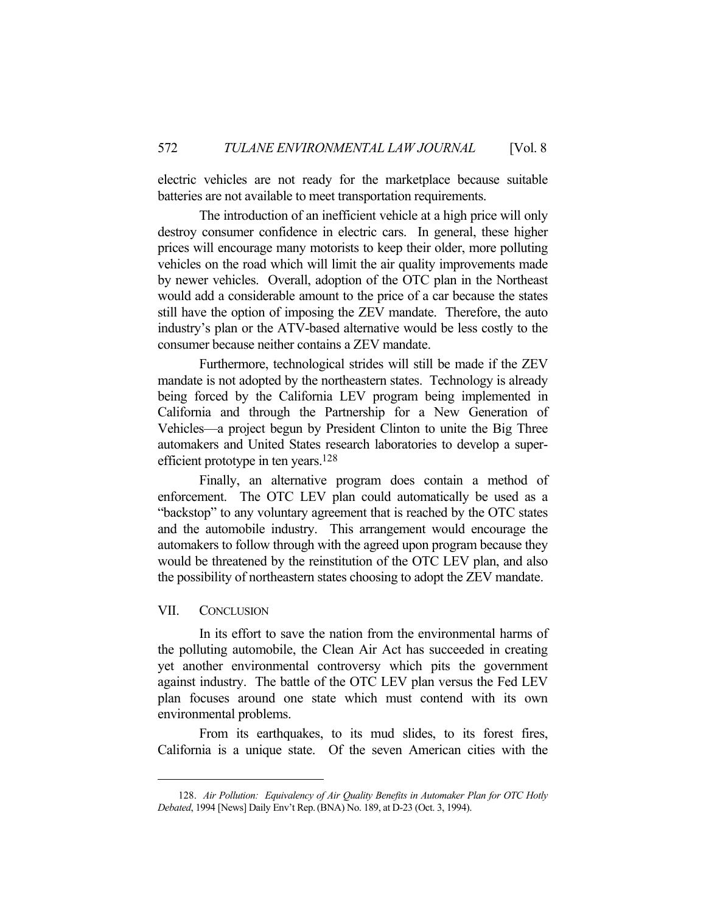electric vehicles are not ready for the marketplace because suitable batteries are not available to meet transportation requirements.

 The introduction of an inefficient vehicle at a high price will only destroy consumer confidence in electric cars. In general, these higher prices will encourage many motorists to keep their older, more polluting vehicles on the road which will limit the air quality improvements made by newer vehicles. Overall, adoption of the OTC plan in the Northeast would add a considerable amount to the price of a car because the states still have the option of imposing the ZEV mandate. Therefore, the auto industry's plan or the ATV-based alternative would be less costly to the consumer because neither contains a ZEV mandate.

 Furthermore, technological strides will still be made if the ZEV mandate is not adopted by the northeastern states. Technology is already being forced by the California LEV program being implemented in California and through the Partnership for a New Generation of Vehicles—a project begun by President Clinton to unite the Big Three automakers and United States research laboratories to develop a superefficient prototype in ten years.128

 Finally, an alternative program does contain a method of enforcement. The OTC LEV plan could automatically be used as a "backstop" to any voluntary agreement that is reached by the OTC states and the automobile industry. This arrangement would encourage the automakers to follow through with the agreed upon program because they would be threatened by the reinstitution of the OTC LEV plan, and also the possibility of northeastern states choosing to adopt the ZEV mandate.

#### VII. CONCLUSION

 In its effort to save the nation from the environmental harms of the polluting automobile, the Clean Air Act has succeeded in creating yet another environmental controversy which pits the government against industry. The battle of the OTC LEV plan versus the Fed LEV plan focuses around one state which must contend with its own environmental problems.

 From its earthquakes, to its mud slides, to its forest fires, California is a unique state. Of the seven American cities with the

 <sup>128.</sup> *Air Pollution: Equivalency of Air Quality Benefits in Automaker Plan for OTC Hotly Debated*, 1994 [News] Daily Env't Rep.(BNA) No. 189, at D-23 (Oct. 3, 1994).